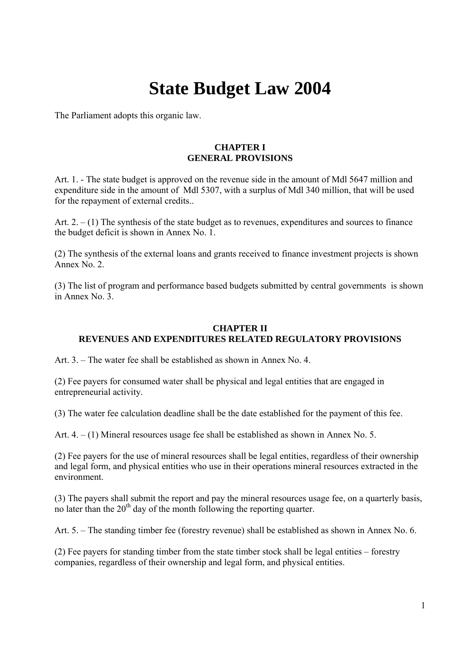# **State Budget Law 2004**

The Parliament adopts this organic law.

### **CHAPTER I GENERAL PROVISIONS**

Art. 1. - The state budget is approved on the revenue side in the amount of Mdl 5647 million and expenditure side in the amount of Mdl 5307, with a surplus of Mdl 340 million, that will be used for the repayment of external credits..

Art.  $2 - (1)$  The synthesis of the state budget as to revenues, expenditures and sources to finance the budget deficit is shown in Annex No. 1.

(2) The synthesis of the external loans and grants received to finance investment projects is shown Annex No. 2.

(3) The list of program and performance based budgets submitted by central governments is shown in Annex No. 3.

#### **CHAPTER II REVENUES AND EXPENDITURES RELATED REGULATORY PROVISIONS**

Art. 3. – The water fee shall be established as shown in Annex No. 4.

(2) Fee payers for consumed water shall be physical and legal entities that are engaged in entrepreneurial activity.

(3) The water fee calculation deadline shall be the date established for the payment of this fee.

Art. 4. – (1) Mineral resources usage fee shall be established as shown in Annex No. 5.

(2) Fee payers for the use of mineral resources shall be legal entities, regardless of their ownership and legal form, and physical entities who use in their operations mineral resources extracted in the environment.

(3) The payers shall submit the report and pay the mineral resources usage fee, on a quarterly basis, no later than the  $20<sup>th</sup>$  day of the month following the reporting quarter.

Art. 5. – The standing timber fee (forestry revenue) shall be established as shown in Annex No. 6.

(2) Fee payers for standing timber from the state timber stock shall be legal entities – forestry companies, regardless of their ownership and legal form, and physical entities.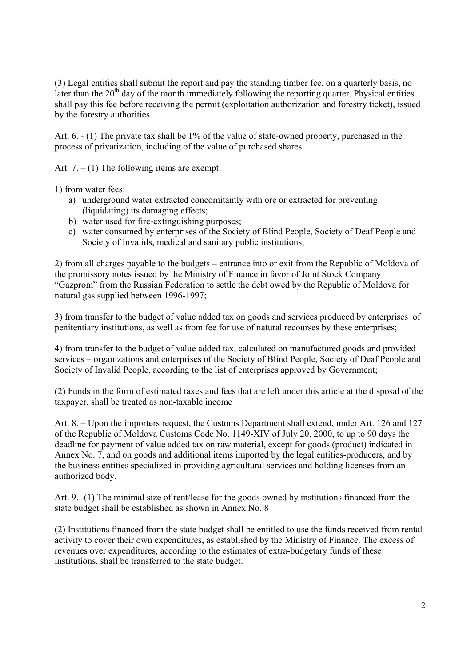(3) Legal entities shall submit the report and pay the standing timber fee, on a quarterly basis, no later than the 20<sup>th</sup> day of the month immediately following the reporting quarter. Physical entities shall pay this fee before receiving the permit (exploitation authorization and forestry ticket), issued by the forestry authorities.

Art. 6. - (1) The private tax shall be 1% of the value of state-owned property, purchased in the process of privatization, including of the value of purchased shares.

Art.  $7. - (1)$  The following items are exempt:

1) from water fees:

- a) underground water extracted concomitantly with ore or extracted for preventing (liquidating) its damaging effects;
- b) water used for fire-extinguishing purposes;
- c) water consumed by enterprises of the Society of Blind People, Society of Deaf People and Society of Invalids, medical and sanitary public institutions;

2) from all charges payable to the budgets – entrance into or exit from the Republic of Moldova of the promissory notes issued by the Ministry of Finance in favor of Joint Stock Company "Gazprom" from the Russian Federation to settle the debt owed by the Republic of Moldova for natural gas supplied between 1996-1997;

3) from transfer to the budget of value added tax on goods and services produced by enterprises of penitentiary institutions, as well as from fee for use of natural recourses by these enterprises;

4) from transfer to the budget of value added tax, calculated on manufactured goods and provided services – organizations and enterprises of the Society of Blind People, Society of Deaf People and Society of Invalid People, according to the list of enterprises approved by Government;

(2) Funds in the form of estimated taxes and fees that are left under this article at the disposal of the taxpayer, shall be treated as non-taxable income

Art. 8. – Upon the importers request, the Customs Department shall extend, under Art. 126 and 127 of the Republic of Moldova Customs Code No. 1149-XIV of July 20, 2000, to up to 90 days the deadline for payment of value added tax on raw material, except for goods (product) indicated in Annex No. 7, and on goods and additional items imported by the legal entities-producers, and by the business entities specialized in providing agricultural services and holding licenses from an authorized body.

Art. 9. -(1) The minimal size of rent/lease for the goods owned by institutions financed from the state budget shall be established as shown in Annex No. 8

(2) Institutions financed from the state budget shall be entitled to use the funds received from rental activity to cover their own expenditures, as established by the Ministry of Finance. The excess of revenues over expenditures, according to the estimates of extra-budgetary funds of these institutions, shall be transferred to the state budget.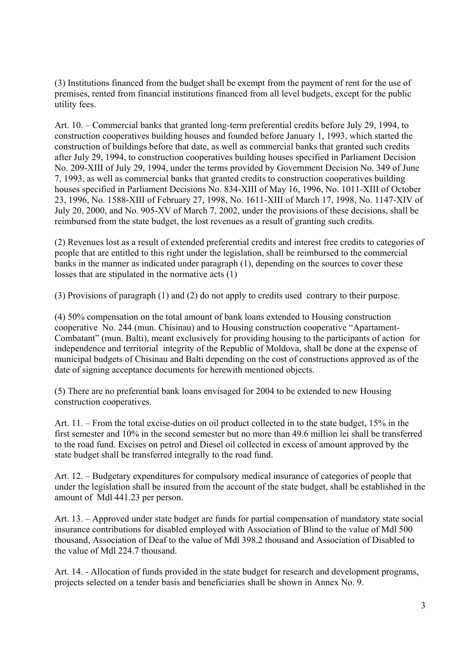(3) Institutions financed from the budget shall be exempt from the payment of rent for the use of premises, rented from financial institutions financed from all level budgets, except for the public utility fees.

Art. 10. – Commercial banks that granted long-term preferential credits before July 29, 1994, to construction cooperatives building houses and founded before January 1, 1993, which started the construction of buildings before that date, as well as commercial banks that granted such credits after July 29, 1994, to construction cooperatives building houses specified in Parliament Decision No. 209-XIII of July 29, 1994, under the terms provided by Government Decision No. 349 of June 7, 1993, as well as commercial banks that granted credits to construction cooperatives building houses specified in Parliament Decisions No. 834-XIII of May 16, 1996, No. 1011-XIII of October 23, 1996, No. 1588-XIII of February 27, 1998, No. 1611-XIII of March 17, 1998, No. 1147-XIV of July 20, 2000, and No. 905-XV of March 7, 2002, under the provisions of these decisions, shall be reimbursed from the state budget, the lost revenues as a result of granting such credits.

(2) Revenues lost as a result of extended preferential credits and interest free credits to categories of people that are entitled to this right under the legislation, shall be reimbursed to the commercial banks in the manner as indicated under paragraph (1), depending on the sources to cover these losses that are stipulated in the normative acts (1)

(3) Provisions of paragraph (1) and (2) do not apply to credits used contrary to their purpose.

(4) 50% compensation on the total amount of bank loans extended to Housing construction cooperative No. 244 (mun. Chisinau) and to Housing construction cooperative "Apartament-Combatant" (mun. Balti), meant exclusively for providing housing to the participants of action for independence and territorial integrity of the Republic of Moldova, shall be done at the expense of municipal budgets of Chisinau and Balti depending on the cost of constructions approved as of the date of signing acceptance documents for herewith mentioned objects.

(5) There are no preferential bank loans envisaged for 2004 to be extended to new Housing construction cooperatives.

Art. 11. – From the total excise-duties on oil product collected in to the state budget, 15% in the first semester and 10% in the second semester but no more than 49.6 million lei shall be transferred to the road fund. Excises on petrol and Diesel oil collected in excess of amount approved by the state budget shall be transferred integrally to the road fund.

Art. 12. – Budgetary expenditures for compulsory medical insurance of categories of people that under the legislation shall be insured from the account of the state budget, shall be established in the amount of Mdl 441.23 per person.

Art. 13. – Approved under state budget are funds for partial compensation of mandatory state social insurance contributions for disabled employed with Association of Blind to the value of Mdl 500 thousand, Association of Deaf to the value of Mdl 398.2 thousand and Association of Disabled to the value of Mdl 224.7 thousand.

Art. 14. - Allocation of funds provided in the state budget for research and development programs, projects selected on a tender basis and beneficiaries shall be shown in Annex No. 9.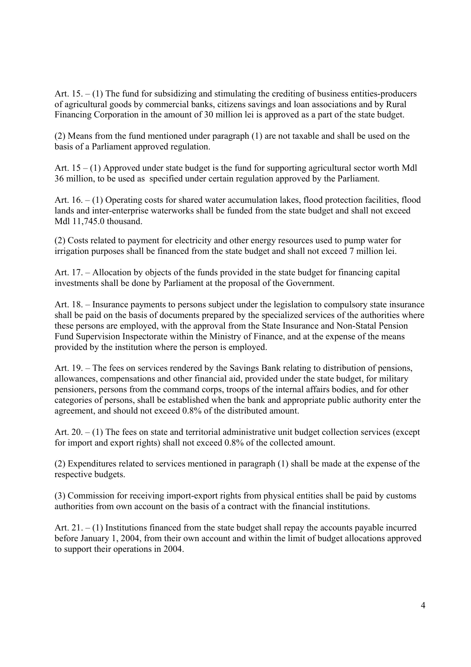Art.  $15. - (1)$  The fund for subsidizing and stimulating the crediting of business entities-producers of agricultural goods by commercial banks, citizens savings and loan associations and by Rural Financing Corporation in the amount of 30 million lei is approved as a part of the state budget.

(2) Means from the fund mentioned under paragraph (1) are not taxable and shall be used on the basis of a Parliament approved regulation.

Art.  $15 - (1)$  Approved under state budget is the fund for supporting agricultural sector worth Mdl 36 million, to be used as specified under certain regulation approved by the Parliament.

Art.  $16. - (1)$  Operating costs for shared water accumulation lakes, flood protection facilities, flood lands and inter-enterprise waterworks shall be funded from the state budget and shall not exceed Mdl 11,745.0 thousand.

(2) Costs related to payment for electricity and other energy resources used to pump water for irrigation purposes shall be financed from the state budget and shall not exceed 7 million lei.

Art. 17. – Allocation by objects of the funds provided in the state budget for financing capital investments shall be done by Parliament at the proposal of the Government.

Art. 18. – Insurance payments to persons subject under the legislation to compulsory state insurance shall be paid on the basis of documents prepared by the specialized services of the authorities where these persons are employed, with the approval from the State Insurance and Non-Statal Pension Fund Supervision Inspectorate within the Ministry of Finance, and at the expense of the means provided by the institution where the person is employed.

Art. 19. – The fees on services rendered by the Savings Bank relating to distribution of pensions, allowances, compensations and other financial aid, provided under the state budget, for military pensioners, persons from the command corps, troops of the internal affairs bodies, and for other categories of persons, shall be established when the bank and appropriate public authority enter the agreement, and should not exceed 0.8% of the distributed amount.

Art. 20. – (1) The fees on state and territorial administrative unit budget collection services (except for import and export rights) shall not exceed 0.8% of the collected amount.

(2) Expenditures related to services mentioned in paragraph (1) shall be made at the expense of the respective budgets.

(3) Commission for receiving import-export rights from physical entities shall be paid by customs authorities from own account on the basis of a contract with the financial institutions.

Art.  $21 - (1)$  Institutions financed from the state budget shall repay the accounts payable incurred before January 1, 2004, from their own account and within the limit of budget allocations approved to support their operations in 2004.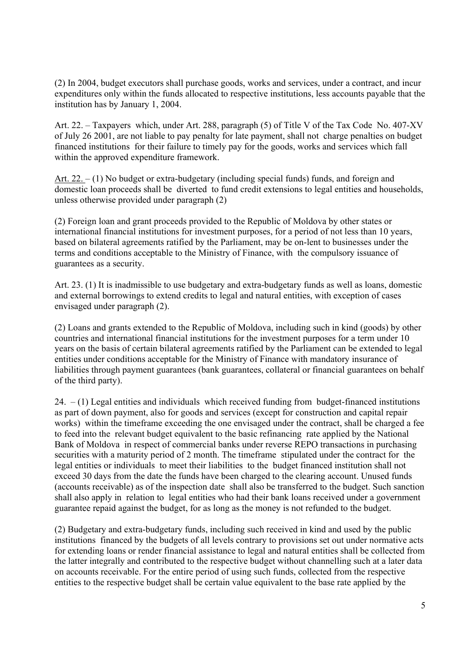(2) In 2004, budget executors shall purchase goods, works and services, under a contract, and incur expenditures only within the funds allocated to respective institutions, less accounts payable that the institution has by January 1, 2004.

Art. 22. – Taxpayers which, under Art. 288, paragraph (5) of Title V of the Tax Code No. 407-XV of July 26 2001, are not liable to pay penalty for late payment, shall not charge penalties on budget financed institutions for their failure to timely pay for the goods, works and services which fall within the approved expenditure framework.

Art. 22. – (1) No budget or extra-budgetary (including special funds) funds, and foreign and domestic loan proceeds shall be diverted to fund credit extensions to legal entities and households, unless otherwise provided under paragraph (2)

(2) Foreign loan and grant proceeds provided to the Republic of Moldova by other states or international financial institutions for investment purposes, for a period of not less than 10 years, based on bilateral agreements ratified by the Parliament, may be on-lent to businesses under the terms and conditions acceptable to the Ministry of Finance, with the compulsory issuance of guarantees as a security.

Art. 23. (1) It is inadmissible to use budgetary and extra-budgetary funds as well as loans, domestic and external borrowings to extend credits to legal and natural entities, with exception of cases envisaged under paragraph (2).

(2) Loans and grants extended to the Republic of Moldova, including such in kind (goods) by other countries and international financial institutions for the investment purposes for a term under 10 years on the basis of certain bilateral agreements ratified by the Parliament can be extended to legal entities under conditions acceptable for the Ministry of Finance with mandatory insurance of liabilities through payment guarantees (bank guarantees, collateral or financial guarantees on behalf of the third party).

 $24. - (1)$  Legal entities and individuals which received funding from budget-financed institutions as part of down payment, also for goods and services (except for construction and capital repair works) within the timeframe exceeding the one envisaged under the contract, shall be charged a fee to feed into the relevant budget equivalent to the basic refinancing rate applied by the National Bank of Moldova in respect of commercial banks under reverse REPO transactions in purchasing securities with a maturity period of 2 month. The timeframe stipulated under the contract for the legal entities or individuals to meet their liabilities to the budget financed institution shall not exceed 30 days from the date the funds have been charged to the clearing account. Unused funds (accounts receivable) as of the inspection date shall also be transferred to the budget. Such sanction shall also apply in relation to legal entities who had their bank loans received under a government guarantee repaid against the budget, for as long as the money is not refunded to the budget.

(2) Budgetary and extra-budgetary funds, including such received in kind and used by the public institutions financed by the budgets of all levels contrary to provisions set out under normative acts for extending loans or render financial assistance to legal and natural entities shall be collected from the latter integrally and contributed to the respective budget without channelling such at a later data on accounts receivable. For the entire period of using such funds, collected from the respective entities to the respective budget shall be certain value equivalent to the base rate applied by the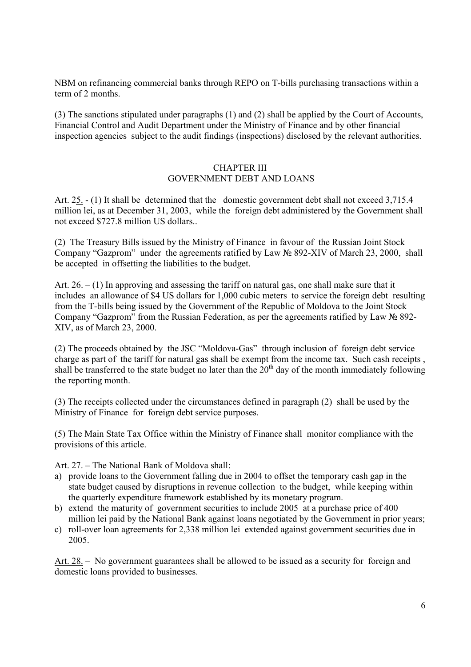NBM on refinancing commercial banks through REPO on T-bills purchasing transactions within a term of 2 months.

(3) The sanctions stipulated under paragraphs (1) and (2) shall be applied by the Court of Accounts, Financial Control and Audit Department under the Ministry of Finance and by other financial inspection agencies subject to the audit findings (inspections) disclosed by the relevant authorities.

#### CHAPTER III GOVERNMENT DEBT AND LOANS

Art. 25. - (1) It shall be determined that the domestic government debt shall not exceed 3,715.4 million lei, as at December 31, 2003, while the foreign debt administered by the Government shall not exceed \$727.8 million US dollars..

(2) The Treasury Bills issued by the Ministry of Finance in favour of the Russian Joint Stock Company "Gazprom" under the agreements ratified by Law № 892-XIV of March 23, 2000, shall be accepted in offsetting the liabilities to the budget.

Art.  $26. - (1)$  In approving and assessing the tariff on natural gas, one shall make sure that it includes an allowance of \$4 US dollars for 1,000 cubic meters to service the foreign debt resulting from the T-bills being issued by the Government of the Republic of Moldova to the Joint Stock Company "Gazprom" from the Russian Federation, as per the agreements ratified by Law № 892- XIV, as of March 23, 2000.

(2) The proceeds obtained by the JSC "Moldova-Gas" through inclusion of foreign debt service charge as part of the tariff for natural gas shall be exempt from the income tax. Such cash receipts , shall be transferred to the state budget no later than the  $20<sup>th</sup>$  day of the month immediately following the reporting month.

(3) The receipts collected under the circumstances defined in paragraph (2) shall be used by the Ministry of Finance for foreign debt service purposes.

(5) The Main State Tax Office within the Ministry of Finance shall monitor compliance with the provisions of this article.

Art. 27. – The National Bank of Moldova shall:

- a) provide loans to the Government falling due in 2004 to offset the temporary cash gap in the state budget caused by disruptions in revenue collection to the budget, while keeping within the quarterly expenditure framework established by its monetary program.
- b) extend the maturity of government securities to include 2005 at a purchase price of 400 million lei paid by the National Bank against loans negotiated by the Government in prior years;
- c) roll-over loan agreements for 2,338 million lei extended against government securities due in 2005.

Art. 28. – No government guarantees shall be allowed to be issued as a security for foreign and domestic loans provided to businesses.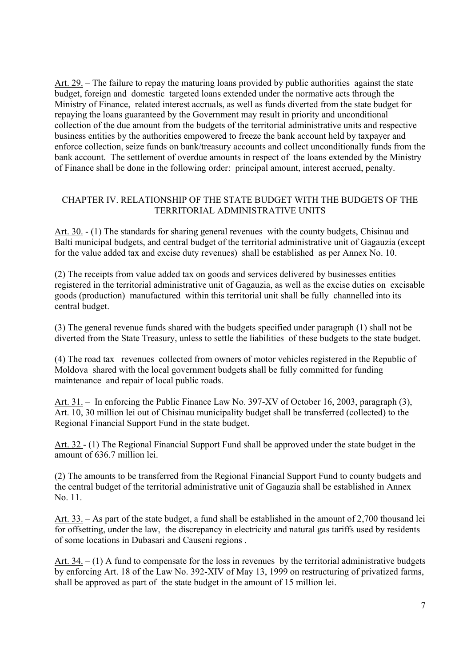Art. 29. – The failure to repay the maturing loans provided by public authorities against the state budget, foreign and domestic targeted loans extended under the normative acts through the Ministry of Finance, related interest accruals, as well as funds diverted from the state budget for repaying the loans guaranteed by the Government may result in priority and unconditional collection of the due amount from the budgets of the territorial administrative units and respective business entities by the authorities empowered to freeze the bank account held by taxpayer and enforce collection, seize funds on bank/treasury accounts and collect unconditionally funds from the bank account. The settlement of overdue amounts in respect of the loans extended by the Ministry of Finance shall be done in the following order: principal amount, interest accrued, penalty.

#### CHAPTER IV. RELATIONSHIP OF THE STATE BUDGET WITH THE BUDGETS OF THE TERRITORIAL ADMINISTRATIVE UNITS

Art. 30. - (1) The standards for sharing general revenues with the county budgets, Chisinau and Balti municipal budgets, and central budget of the territorial administrative unit of Gagauzia (except for the value added tax and excise duty revenues) shall be established as per Annex No. 10.

(2) The receipts from value added tax on goods and services delivered by businesses entities registered in the territorial administrative unit of Gagauzia, as well as the excise duties on excisable goods (production) manufactured within this territorial unit shall be fully channelled into its central budget.

(3) The general revenue funds shared with the budgets specified under paragraph (1) shall not be diverted from the State Treasury, unless to settle the liabilities of these budgets to the state budget.

(4) The road tax revenues collected from owners of motor vehicles registered in the Republic of Moldova shared with the local government budgets shall be fully committed for funding maintenance and repair of local public roads.

Art. 31. – In enforcing the Public Finance Law No. 397-XV of October 16, 2003, paragraph (3), Art. 10, 30 million lei out of Chisinau municipality budget shall be transferred (collected) to the Regional Financial Support Fund in the state budget.

Art. 32 - (1) The Regional Financial Support Fund shall be approved under the state budget in the amount of 636.7 million lei.

(2) The amounts to be transferred from the Regional Financial Support Fund to county budgets and the central budget of the territorial administrative unit of Gagauzia shall be established in Annex No. 11.

Art. 33. – As part of the state budget, a fund shall be established in the amount of 2,700 thousand lei for offsetting, under the law, the discrepancy in electricity and natural gas tariffs used by residents of some locations in Dubasari and Causeni regions .

Art.  $34. - (1)$  A fund to compensate for the loss in revenues by the territorial administrative budgets by enforcing Art. 18 of the Law No. 392-XIV of May 13, 1999 on restructuring of privatized farms, shall be approved as part of the state budget in the amount of 15 million lei.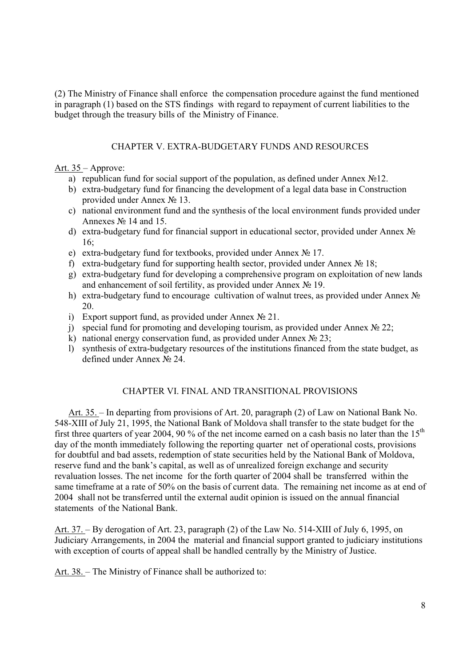(2) The Ministry of Finance shall enforce the compensation procedure against the fund mentioned in paragraph (1) based on the STS findings with regard to repayment of current liabilities to the budget through the treasury bills of the Ministry of Finance.

### CHAPTER V. EXTRA-BUDGETARY FUNDS AND RESOURCES

Art. 35 – Approve:

- a) republican fund for social support of the population, as defined under Annex №12.
- b) extra-budgetary fund for financing the development of a legal data base in Construction provided under Annex № 13.
- c) national environment fund and the synthesis of the local environment funds provided under Annexes № 14 and 15.
- d) extra-budgetary fund for financial support in educational sector, provided under Annex № 16;
- e) extra-budgetary fund for textbooks, provided under Annex № 17.
- f) extra-budgetary fund for supporting health sector, provided under Annex № 18;
- g) extra-budgetary fund for developing a comprehensive program on exploitation of new lands and enhancement of soil fertility, as provided under Annex № 19.
- h) extra-budgetary fund to encourage cultivation of walnut trees, as provided under Annex № 20.
- i) Export support fund, as provided under Annex  $\mathcal{N}_2$  21.
- j) special fund for promoting and developing tourism, as provided under Annex  $N_2$  22;
- k) national energy conservation fund, as provided under Annex  $N_2$  23;
- l) synthesis of extra-budgetary resources of the institutions financed from the state budget, as defined under Annex № 24.

## CHAPTER VI. FINAL AND TRANSITIONAL PROVISIONS

Art. 35. – In departing from provisions of Art. 20, paragraph (2) of Law on National Bank No. 548-XIII of July 21, 1995, the National Bank of Moldova shall transfer to the state budget for the first three quarters of year 2004, 90 % of the net income earned on a cash basis no later than the  $15<sup>th</sup>$ day of the month immediately following the reporting quarter net of operational costs, provisions for doubtful and bad assets, redemption of state securities held by the National Bank of Moldova, reserve fund and the bank's capital, as well as of unrealized foreign exchange and security revaluation losses. The net income for the forth quarter of 2004 shall be transferred within the same timeframe at a rate of 50% on the basis of current data. The remaining net income as at end of 2004 shall not be transferred until the external audit opinion is issued on the annual financial statements of the National Bank.

Art. 37. – By derogation of Art. 23, paragraph (2) of the Law No. 514-XIII of July 6, 1995, on Judiciary Arrangements, in 2004 the material and financial support granted to judiciary institutions with exception of courts of appeal shall be handled centrally by the Ministry of Justice.

Art. 38. – The Ministry of Finance shall be authorized to: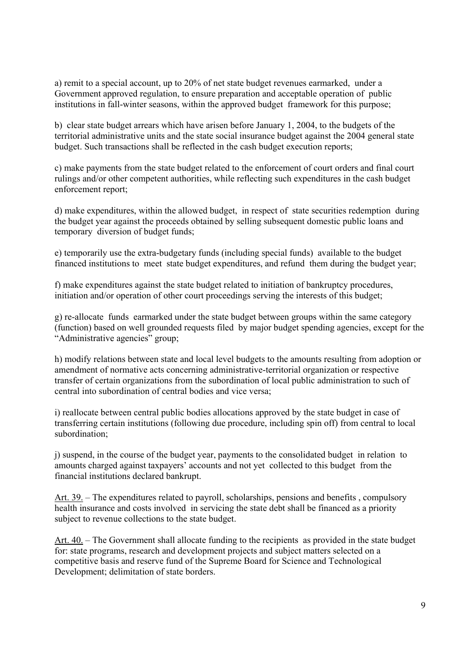a) remit to a special account, up to 20% of net state budget revenues earmarked, under a Government approved regulation, to ensure preparation and acceptable operation of public institutions in fall-winter seasons, within the approved budget framework for this purpose;

b) clear state budget arrears which have arisen before January 1, 2004, to the budgets of the territorial administrative units and the state social insurance budget against the 2004 general state budget. Such transactions shall be reflected in the cash budget execution reports;

c) make payments from the state budget related to the enforcement of court orders and final court rulings and/or other competent authorities, while reflecting such expenditures in the cash budget enforcement report;

d) make expenditures, within the allowed budget, in respect of state securities redemption during the budget year against the proceeds obtained by selling subsequent domestic public loans and temporary diversion of budget funds;

e) temporarily use the extra-budgetary funds (including special funds) available to the budget financed institutions to meet state budget expenditures, and refund them during the budget year;

f) make expenditures against the state budget related to initiation of bankruptcy procedures, initiation and/or operation of other court proceedings serving the interests of this budget;

g) re-allocate funds earmarked under the state budget between groups within the same category (function) based on well grounded requests filed by major budget spending agencies, except for the "Administrative agencies" group;

h) modify relations between state and local level budgets to the amounts resulting from adoption or amendment of normative acts concerning administrative-territorial organization or respective transfer of certain organizations from the subordination of local public administration to such of central into subordination of central bodies and vice versa;

i) reallocate between central public bodies allocations approved by the state budget in case of transferring certain institutions (following due procedure, including spin off) from central to local subordination;

j) suspend, in the course of the budget year, payments to the consolidated budget in relation to amounts charged against taxpayers' accounts and not yet collected to this budget from the financial institutions declared bankrupt.

Art. 39. – The expenditures related to payroll, scholarships, pensions and benefits , compulsory health insurance and costs involved in servicing the state debt shall be financed as a priority subject to revenue collections to the state budget.

Art. 40. – The Government shall allocate funding to the recipients as provided in the state budget for: state programs, research and development projects and subject matters selected on a competitive basis and reserve fund of the Supreme Board for Science and Technological Development; delimitation of state borders.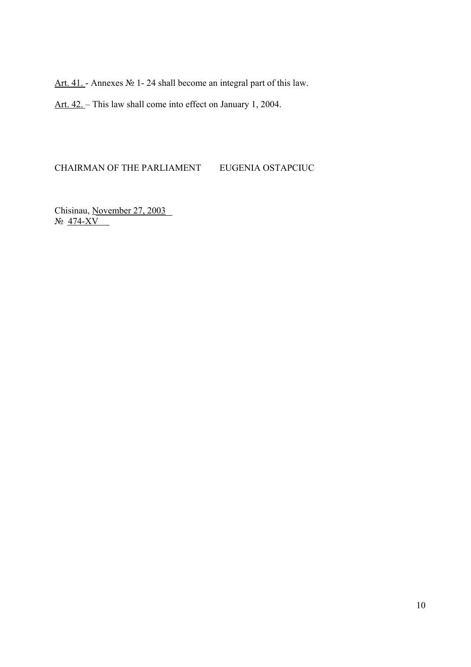Art. 41. - Annexes № 1- 24 shall become an integral part of this law.

Art. 42. – This law shall come into effect on January 1, 2004.

#### CHAIRMAN OF THE PARLIAMENT EUGENIA OSTAPCIUC

Chisinau, November 27, 2003 № 474-XV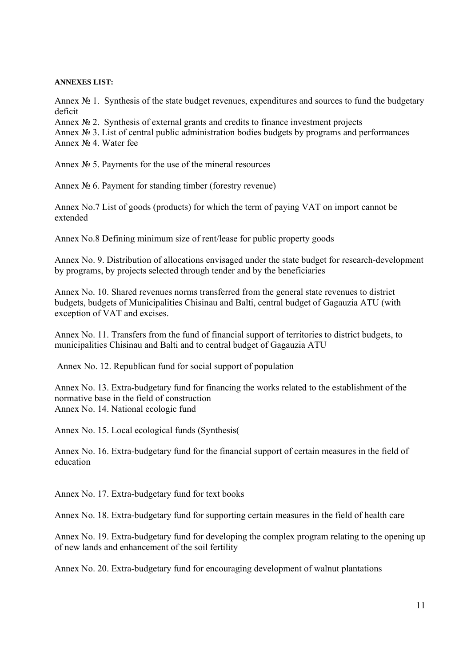#### **ANNEXES LIST:**

Annex  $\mathbb{N}_2$  1. Synthesis of the state budget revenues, expenditures and sources to fund the budgetary deficit

Annex  $\mathbb{N}_2$  2. Synthesis of external grants and credits to finance investment projects

Annex № 3. List of central public administration bodies budgets by programs and performances Annex № 4. Water fee

Annex № 5. Payments for the use of the mineral resources

Annex № 6. Payment for standing timber (forestry revenue)

Annex No.7 List of goods (products) for which the term of paying VAT on import cannot be extended

Annex No.8 Defining minimum size of rent/lease for public property goods

Annex No. 9. Distribution of allocations envisaged under the state budget for research-development by programs, by projects selected through tender and by the beneficiaries

Annex No. 10. Shared revenues norms transferred from the general state revenues to district budgets, budgets of Municipalities Chisinau and Balti, central budget of Gagauzia ATU (with exception of VAT and excises.

Annex No. 11. Transfers from the fund of financial support of territories to district budgets, to municipalities Chisinau and Balti and to central budget of Gagauzia ATU

Annex No. 12. Republican fund for social support of population

Annex No. 13. Extra-budgetary fund for financing the works related to the establishment of the normative base in the field of construction Annex No. 14. National ecologic fund

Annex No. 15. Local ecological funds (Synthesis(

Annex No. 16. Extra-budgetary fund for the financial support of certain measures in the field of education

Annex No. 17. Extra-budgetary fund for text books

Annex No. 18. Extra-budgetary fund for supporting certain measures in the field of health care

Annex No. 19. Extra-budgetary fund for developing the complex program relating to the opening up of new lands and enhancement of the soil fertility

Annex No. 20. Extra-budgetary fund for encouraging development of walnut plantations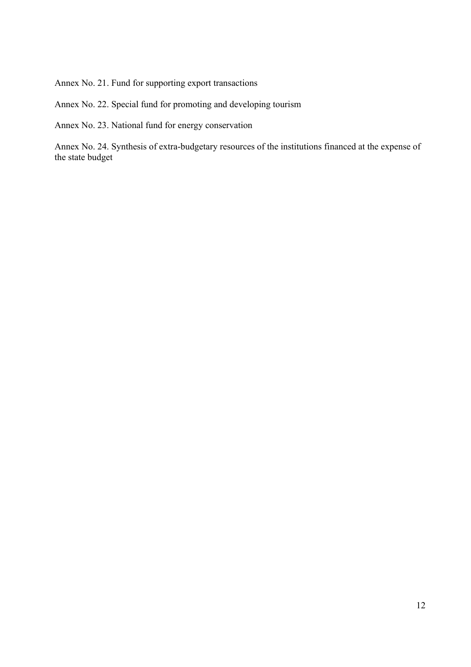Annex No. 21. Fund for supporting export transactions

Annex No. 22. Special fund for promoting and developing tourism

Annex No. 23. National fund for energy conservation

Annex No. 24. Synthesis of extra-budgetary resources of the institutions financed at the expense of the state budget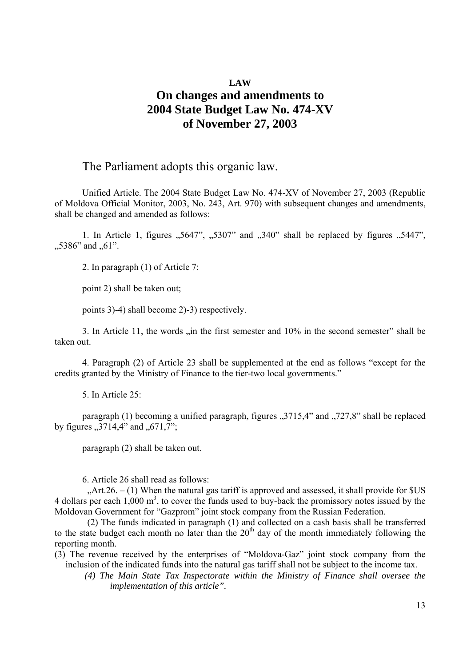## **LAW On changes and amendments to 2004 State Budget Law No. 474-XV of November 27, 2003**

## The Parliament adopts this organic law.

Unified Article. The 2004 State Budget Law No. 474-XV of November 27, 2003 (Republic of Moldova Official Monitor, 2003, No. 243, Art. 970) with subsequent changes and amendments, shall be changed and amended as follows:

1. In Article 1, figures  $0.5647$ ",  $0.5307$ " and  $0.340$ " shall be replaced by figures  $0.5447$ ",  $,5386"$  and  $,61"$ .

2. In paragraph (1) of Article 7:

point 2) shall be taken out;

points 3)-4) shall become 2)-3) respectively.

3. In Article 11, the words  $\sin$  the first semester and 10% in the second semester" shall be taken out.

4. Paragraph (2) of Article 23 shall be supplemented at the end as follows "except for the credits granted by the Ministry of Finance to the tier-two local governments."

5. In Article 25:

paragraph (1) becoming a unified paragraph, figures  $0.3715.4$ " and  $0.727.8$ " shall be replaced by figures  $,3714,4$ " and  $,671,7$ ";

paragraph (2) shall be taken out.

6. Article 26 shall read as follows:

 $\mu$ Art.26. – (1) When the natural gas tariff is approved and assessed, it shall provide for \$US 4 dollars per each  $1,000 \text{ m}^3$ , to cover the funds used to buy-back the promissory notes issued by the Moldovan Government for "Gazprom" joint stock company from the Russian Federation.

(2) The funds indicated in paragraph (1) and collected on a cash basis shall be transferred to the state budget each month no later than the  $20<sup>th</sup>$  day of the month immediately following the reporting month.

(3) The revenue received by the enterprises of "Moldova-Gaz" joint stock company from the inclusion of the indicated funds into the natural gas tariff shall not be subject to the income tax.

 *(4) The Main State Tax Inspectorate within the Ministry of Finance shall oversee the implementation of this article".*